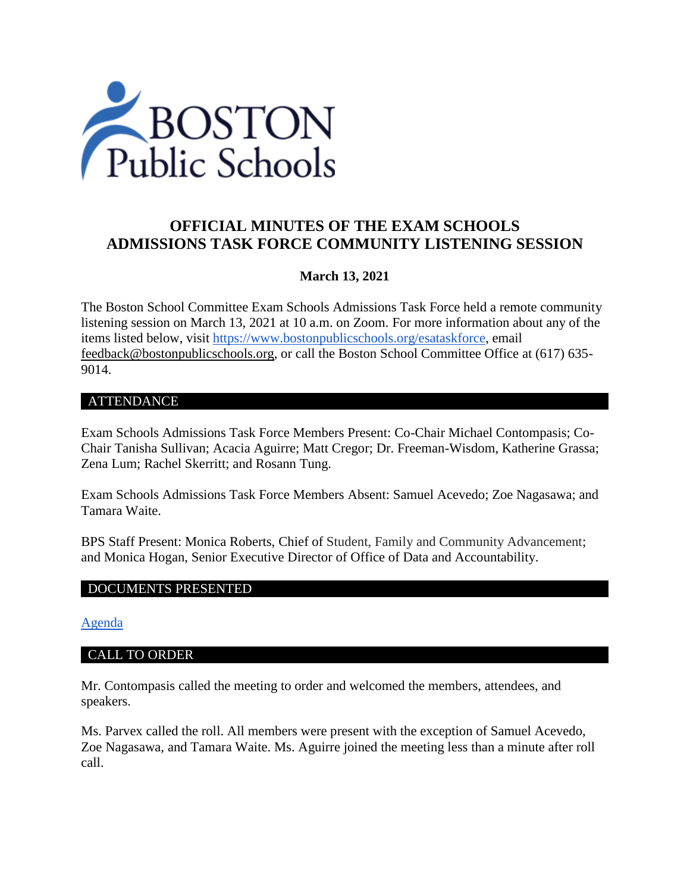

# **OFFICIAL MINUTES OF THE EXAM SCHOOLS ADMISSIONS TASK FORCE COMMUNITY LISTENING SESSION**

# **March 13, 2021**

The Boston School Committee Exam Schools Admissions Task Force held a remote community listening session on March 13, 2021 at 10 a.m. on Zoom. For more information about any of the items listed below, visit [https://www.bostonpublicschools.org/esataskforce,](https://www.bostonpublicschools.org/esataskforce) email [feedback@bostonpublicschools.org,](mailto:feedback@bostonpublicschools.org) or call the Boston School Committee Office at (617) 635- 9014.

### ATTENDANCE

Exam Schools Admissions Task Force Members Present: Co-Chair Michael Contompasis; Co-Chair Tanisha Sullivan; Acacia Aguirre; Matt Cregor; Dr. Freeman-Wisdom, Katherine Grassa; Zena Lum; Rachel Skerritt; and Rosann Tung.

Exam Schools Admissions Task Force Members Absent: Samuel Acevedo; Zoe Nagasawa; and Tamara Waite.

BPS Staff Present: Monica Roberts, Chief of Student, Family and Community Advancement; and Monica Hogan, Senior Executive Director of Office of Data and Accountability.

### DOCUMENTS PRESENTED

#### [Agenda](https://www.boston.gov/public-notices/14769066)

#### CALL TO ORDER

Mr. Contompasis called the meeting to order and welcomed the members, attendees, and speakers.

Ms. Parvex called the roll. All members were present with the exception of Samuel Acevedo, Zoe Nagasawa, and Tamara Waite. Ms. Aguirre joined the meeting less than a minute after roll call.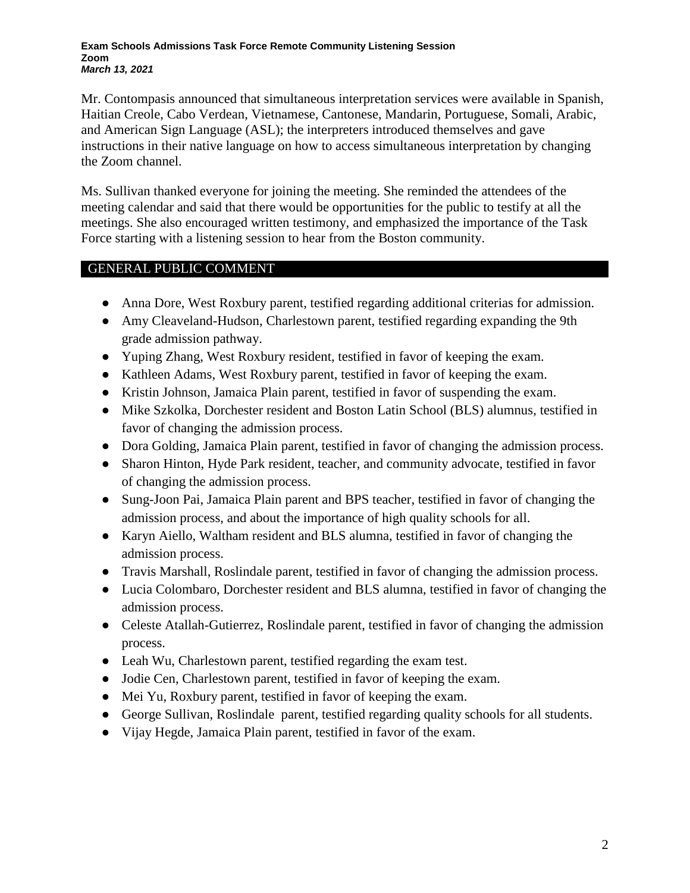#### **Exam Schools Admissions Task Force Remote Community Listening Session Zoom** *March 13, 2021*

Mr. Contompasis announced that simultaneous interpretation services were available in Spanish, Haitian Creole, Cabo Verdean, Vietnamese, Cantonese, Mandarin, Portuguese, Somali, Arabic, and American Sign Language (ASL); the interpreters introduced themselves and gave instructions in their native language on how to access simultaneous interpretation by changing the Zoom channel.

Ms. Sullivan thanked everyone for joining the meeting. She reminded the attendees of the meeting calendar and said that there would be opportunities for the public to testify at all the meetings. She also encouraged written testimony, and emphasized the importance of the Task Force starting with a listening session to hear from the Boston community.

# GENERAL PUBLIC COMMENT

- Anna Dore, West Roxbury parent, testified regarding additional criterias for admission.
- Amy Cleaveland-Hudson, Charlestown parent, testified regarding expanding the 9th grade admission pathway.
- Yuping Zhang, West Roxbury resident, testified in favor of keeping the exam.
- Kathleen Adams, West Roxbury parent, testified in favor of keeping the exam.
- Kristin Johnson, Jamaica Plain parent, testified in favor of suspending the exam.
- Mike Szkolka, Dorchester resident and Boston Latin School (BLS) alumnus, testified in favor of changing the admission process.
- Dora Golding, Jamaica Plain parent, testified in favor of changing the admission process.
- Sharon Hinton, Hyde Park resident, teacher, and community advocate, testified in favor of changing the admission process.
- Sung-Joon Pai, Jamaica Plain parent and BPS teacher, testified in favor of changing the admission process, and about the importance of high quality schools for all.
- Karyn Aiello, Waltham resident and BLS alumna, testified in favor of changing the admission process.
- Travis Marshall, Roslindale parent, testified in favor of changing the admission process.
- Lucia Colombaro, Dorchester resident and BLS alumna, testified in favor of changing the admission process.
- Celeste Atallah-Gutierrez, Roslindale parent, testified in favor of changing the admission process.
- Leah Wu, Charlestown parent, testified regarding the exam test.
- Jodie Cen, Charlestown parent, testified in favor of keeping the exam.
- Mei Yu, Roxbury parent, testified in favor of keeping the exam.
- George Sullivan, Roslindale parent, testified regarding quality schools for all students.
- Vijay Hegde, Jamaica Plain parent, testified in favor of the exam.